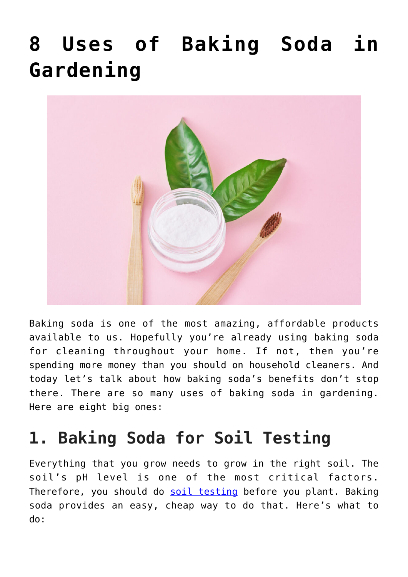# **[8 Uses of Baking Soda in](https://www.frugalgardening.com/8-uses-of-baking-soda-in-gardening.html) [Gardening](https://www.frugalgardening.com/8-uses-of-baking-soda-in-gardening.html)**



Baking soda is one of the most amazing, affordable products available to us. Hopefully you're already using baking soda for cleaning throughout your home. If not, then you're spending more money than you should on household cleaners. And today let's talk about how baking soda's benefits don't stop there. There are so many uses of baking soda in gardening. Here are eight big ones:

#### **1. Baking Soda for Soil Testing**

Everything that you grow needs to grow in the right soil. The soil's pH level is one of the most critical factors. Therefore, you should do [soil testing](https://www.frugalgardening.com/how-to-garden-frugally.html) before you plant. Baking soda provides an easy, cheap way to do that. Here's what to do: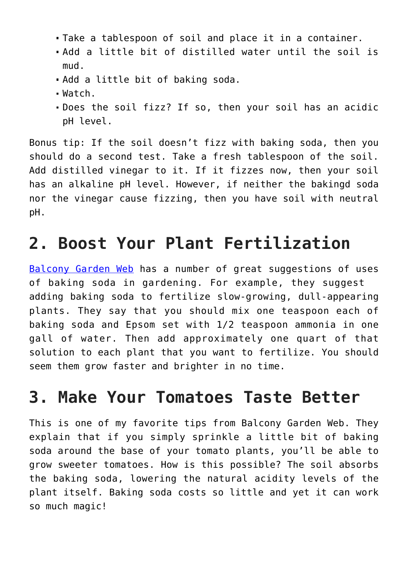- Take a tablespoon of soil and place it in a container.
- Add a little bit of distilled water until the soil is mud.
- Add a little bit of baking soda.
- Watch.
- Does the soil fizz? If so, then your soil has an acidic pH level.

Bonus tip: If the soil doesn't fizz with baking soda, then you should do a second test. Take a fresh tablespoon of the soil. Add distilled vinegar to it. If it fizzes now, then your soil has an alkaline pH level. However, if neither the bakingd soda nor the vinegar cause fizzing, then you have soil with neutral pH.

# **2. Boost Your Plant Fertilization**

[Balcony Garden Web](https://balconygardenweb.com/baking-soda-uses-in-the-garden-baking-soda-for-plants/) has a number of great suggestions of uses of baking soda in gardening. For example, they suggest adding baking soda to fertilize slow-growing, dull-appearing plants. They say that you should mix one teaspoon each of baking soda and Epsom set with 1/2 teaspoon ammonia in one gall of water. Then add approximately one quart of that solution to each plant that you want to fertilize. You should seem them grow faster and brighter in no time.

#### **3. Make Your Tomatoes Taste Better**

This is one of my favorite tips from Balcony Garden Web. They explain that if you simply sprinkle a little bit of baking soda around the base of your tomato plants, you'll be able to grow sweeter tomatoes. How is this possible? The soil absorbs the baking soda, lowering the natural acidity levels of the plant itself. Baking soda costs so little and yet it can work so much magic!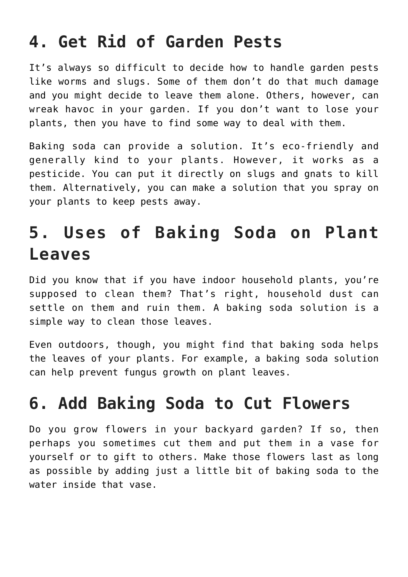### **4. Get Rid of Garden Pests**

It's always so difficult to decide how to handle garden pests like worms and slugs. Some of them don't do that much damage and you might decide to leave them alone. Others, however, can wreak havoc in your garden. If you don't want to lose your plants, then you have to find some way to deal with them.

Baking soda can provide a solution. It's eco-friendly and generally kind to your plants. However, it works as a pesticide. You can put it directly on slugs and gnats to kill them. Alternatively, you can make a solution that you spray on your plants to keep pests away.

# **5. Uses of Baking Soda on Plant Leaves**

Did you know that if you have indoor household plants, you're supposed to clean them? That's right, household dust can settle on them and ruin them. A baking soda solution is a simple way to clean those leaves.

Even outdoors, though, you might find that baking soda helps the leaves of your plants. For example, a baking soda solution can help prevent fungus growth on plant leaves.

#### **6. Add Baking Soda to Cut Flowers**

Do you grow flowers in your backyard garden? If so, then perhaps you sometimes cut them and put them in a vase for yourself or to gift to others. Make those flowers last as long as possible by adding just a little bit of baking soda to the water inside that vase.